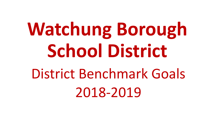**Watchung Borough School District** District Benchmark Goals 2018-2019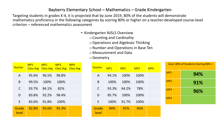#### Bayberry Elementary School – Mathematics – Grade Kindergarten

- Kindergarten NJSLS Overview
	- o Counting and Cardinality
	- oOperations and Algebraic Thinking
	- o Number and Operations in Base Ten
	- o Measurement and Data
	- oGeometry

| <b>Teacher</b> | MP1<br><b>Class Avg</b> | MP2<br><b>Class Avg</b> | MP <sub>3</sub><br><b>Class Avg</b> | MP4<br><b>Class Avg</b> |
|----------------|-------------------------|-------------------------|-------------------------------------|-------------------------|
| $\overline{A}$ | 95.6%                   | 96.5%                   | 98.8%                               |                         |
| B              | 99.5%                   | 100%                    | 100%                                |                         |
| $\mathsf{C}$   | 93.7%                   | 84.1%                   | 82%                                 |                         |
| D              | 83.8%                   | 92.2%                   | 98.4%                               |                         |
| E              | 83.6%                   | 91.8%                   | 100%                                |                         |
| Grade<br>level | 92.8%                   | 93.6%                   | 95.3%                               |                         |

| <b>Teacher</b> | MP1   | MP2   | MP <sub>3</sub> | MP4 |
|----------------|-------|-------|-----------------|-----|
| A              | 94.1% | 100%  | 100%            |     |
| B              | 100%  | 100%  | 100%            |     |
| $\mathsf{C}$   | 93.3% | 64.2% | 78%             |     |
| D              | 85.7% | 100%  | 100%            |     |
| F              | 100%  | 91.7% | 100%            |     |
| Grade<br>level | 94%   | 91%   | 96%             |     |

| Goal: 80% of Students Scoring 80% + |     |  |  |  |  |  |  |  |  |  |
|-------------------------------------|-----|--|--|--|--|--|--|--|--|--|
| MP <sub>1</sub>                     | 94% |  |  |  |  |  |  |  |  |  |
| MP <sub>2</sub>                     | 91% |  |  |  |  |  |  |  |  |  |
| MP3                                 | 96% |  |  |  |  |  |  |  |  |  |
| MP4                                 |     |  |  |  |  |  |  |  |  |  |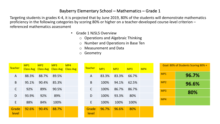- Grade 1 NJSLS Overview
	- o Operations and Algebraic Thinking
	- o Number and Operations in Base Ten
	- o Measurement and Data
	- o Geometry

| <b>Teacher</b> | MP1<br><b>Class Avg</b> | MP2   | MP <sub>3</sub><br><b>Class Avg Class Avg</b> | MP4<br><b>Class Avg</b> | Teacher        | MP1   | MP2   | MP <sub>3</sub> | MP4 |                 | Goal: 80% of Students Scoring 80% + |
|----------------|-------------------------|-------|-----------------------------------------------|-------------------------|----------------|-------|-------|-----------------|-----|-----------------|-------------------------------------|
| $\overline{A}$ | 88.3%                   | 88.7% | 89.5%                                         |                         | A              | 83.3% | 83.3% | 66.7%           |     | MP1             | 96.7%                               |
| B              | 95.1%                   | 90.4% | 85.3%                                         |                         | $\sf B$        | 100%  | 94.1% | 62.5%           |     | MP <sub>2</sub> | 96.6%                               |
| $\mathsf{C}$   | 92%                     | 89%   | 90.5%                                         |                         | $\mathsf{C}$   | 100%  | 86.7% | 86.7%           |     | MP3             | 80%                                 |
| D              | 93.9%                   | 92%   | 89%                                           |                         | D              | 100%  | 93.3% | 80%             |     | MP4             |                                     |
| E.             | 88%                     | 84%   | 100%                                          |                         | E              | 100%  | 100%  | 100%            |     |                 |                                     |
| Grade<br>level | 92.6%                   | 90.4% | 88.7%                                         |                         | Grade<br>level | 96.7% | 96.6% | 80%             |     |                 |                                     |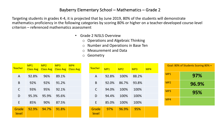- Grade 2 NJSLS Overview
	- o Operations and Algebraic Thinking
	- o Number and Operations in Base Ten
	- o Measurement and Data
	- o Geometry

| <b>Teacher</b> | MP <sub>1</sub><br><b>Class Avg</b> | MP2<br><b>Class Avg</b> | MP <sub>3</sub><br><b>Class Avg</b> | MP4<br><b>Class Avg</b> | <b>Teacher</b> | MP1   | MP2   | MP <sub>3</sub> | MP4 | Goal: 80% of Students Scoring 80% + |       |
|----------------|-------------------------------------|-------------------------|-------------------------------------|-------------------------|----------------|-------|-------|-----------------|-----|-------------------------------------|-------|
| $\mathsf{A}$   | 92.8%                               | 96%                     | 89.1%                               |                         | A              | 92.8% | 100%  | 88.2%           |     | MP1                                 | 97%   |
| B              | 92%                                 | 92%                     | 91.2%                               |                         | B              | 92.0% | 86.7% | 93.8%           |     | MP <sub>2</sub>                     | 96.9% |
| $\mathsf C$    | 93%                                 | 95%                     | 92.1%                               |                         | C              | 94.0% | 100%  | 100%            |     | MP3                                 | 95%   |
| D              | 95.3%                               | 95.9%                   | 95.6%                               |                         | D              | 94.4% | 100%  | 100%            |     |                                     |       |
| E              | 85%                                 | 90%                     | 87.5%                               |                         | E              | 85.0% | 100%  | 100%            |     | MP4                                 |       |
| Grade<br>level | 92.9%                               | 94.7%                   | 91.8%                               |                         | Grade<br>level | 97%   | 96.9% | 95%             |     |                                     |       |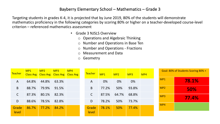- Grade 3 NJSLS Overview
	- o Operations and Algebraic Thinking
	- o Number and Operations in Base Ten
	- o Number and Operations Fractions
	- o Measurement and Data
	- o Geometry

| Teacher | MP1   | MP2   | MP3<br>Class Avg Class Avg Class Avg Class Avg | MP4 | <b>Teacher</b> | MP <sub>1</sub> | MP2   | MP <sub>3</sub> | MP4 |                 | Goal: 80% of Students Scoring 80% + |
|---------|-------|-------|------------------------------------------------|-----|----------------|-----------------|-------|-----------------|-----|-----------------|-------------------------------------|
| A       | 64.8% | 44.8% | 63.3%                                          |     | A              | 0%              | 0%    | 0%              |     | MP1             | 78.1%                               |
| B.      | 88.7% | 79.9% | 91.5%                                          |     | B              | 77.2%           | 50%   | 93.8%           |     | MP <sub>2</sub> | 50%                                 |
|         | 87.3% | 80.1% | 82.3%                                          |     |                | 87.5%           | 64.7% | 68.8%           |     | MP3             | 77.4%                               |
| D       | 88.6% | 78.5% | 82.8%                                          |     | D              | 78.2%           | 50%   | 73.7%           |     | MP4             |                                     |
| Grade   | 86.7% | 77.2% | 84.2%                                          |     | Grade          | 78.1%           | 50%   | 77.4%           |     |                 |                                     |
| level   |       |       |                                                |     | level          |                 |       |                 |     |                 |                                     |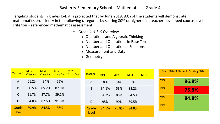- Grade 4 NJSLS Overview
	- o Operations and Algebraic Thinking
	- o Number and Operations in Base Ten
	- o Number and Operations Fractions
	- o Measurement and Data
	- o Geometry

| Teacher <sup>®</sup> | MP1   | MP2<br>Class Avg   Class Avg   Class Avg   Class Avg | MP <sub>3</sub> | MP4 | <b>Teacher</b> | MP1   | MP2   | MP3   | MP4 |                 | Goal: 80% of Students Scoring 80% + |
|----------------------|-------|------------------------------------------------------|-----------------|-----|----------------|-------|-------|-------|-----|-----------------|-------------------------------------|
| $\mathsf{A}$         | 61.2% | 34%                                                  | 55%             |     | A              | 8%    | 0%    | 0%    |     | MP1             | 86.8%                               |
| B                    | 90.5% | 85.2%                                                | 87.9%           |     | B              | 94.1% | 53%   | 88.2% |     | MP <sub>2</sub> | 75.8%                               |
| C                    | 91.7% | 87.7%                                                | 89.2%           |     | C              | 84.2% | 85%   | 84.5% |     | MP3             | 84.8%                               |
| D                    | 94.8% | 87.5%                                                | 91.8%           |     | D              | 95%   | 90%   | 89.5% |     |                 |                                     |
| Grade<br>level       | 89.9% | 84.5%                                                | 88%             |     | Grade<br>level | 84.5% | 75.8% | 84.8% |     | MP4             |                                     |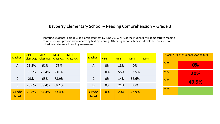# Bayberry Elementary School – Reading Comprehension – Grade 3

Targeting students in grade 3, it is projected that by June 2019, 75% of the students will demonstrate reading comprehension proficiency in analyzing text by scoring 80% or higher on a teacher-developed course-level criterion – referenced reading assessment

| <b>Teacher</b> | MP1   | MP2<br>Class Avg Class Avg Class Avg Class Avg | MP3   | MP4 | <b>Teacher</b> | MP1 | MP2 | MP3   | MP4 |                 | Goal: 75 % of Students Scoring 80% + |
|----------------|-------|------------------------------------------------|-------|-----|----------------|-----|-----|-------|-----|-----------------|--------------------------------------|
| $\mathsf{A}$   | 21.5% | 61%                                            | 75%   |     | A              | 0%  | 18% | 0%    |     | MP1             | 0%                                   |
| B.             | 39.5% | 72.4%                                          | 80.%  |     | B              | 0%  | 55% | 62.5% |     | MP <sub>2</sub> | 20%                                  |
| $\mathsf{C}$   | 28%   | 65%                                            | 73.9% |     | $\mathsf C$    | 0%  | 14% | 52.6% |     | MP3             | 43.9%                                |
| D              | 26.6% | 58.4%                                          | 68.1% |     | D              | 0%  | 21% | 30%   |     | MP4             |                                      |
| Grade<br>level | 29.8% | 64.4%                                          | 73.4% |     | Grade<br>level | 0%  | 20% | 43.9% |     |                 |                                      |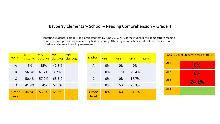# Bayberry Elementary School – Reading Comprehension – Grade 4

Targeting students in grade 4, it is projected that by June 2019, 75% of the students will demonstrate reading comprehension proficiency in analyzing text by scoring 80% or higher on a teacher-developed course-level criterion – referenced reading assessment

| <b>Teacher</b> | MP1<br><b>Class Avg</b> | MP2<br><b>Class Avg</b> | MP3<br><b>Class Avg</b> | MP4<br><b>Class Avg</b> |
|----------------|-------------------------|-------------------------|-------------------------|-------------------------|
| A              | 6%                      | 35%                     | 42.8%                   |                         |
| B              | 56.8%                   | 61.2%                   | 67%                     |                         |
| C              | 50.4%                   | 57.9%                   | 68.5%                   |                         |
| D              | 41.8%                   | 54%                     | 67.8%                   |                         |
| Grade<br>level | 44.8%                   | 53.9%                   | 65.6%                   |                         |

| <b>Teacher</b> | MP1 | MP2 | MP3   | MP4 |
|----------------|-----|-----|-------|-----|
| $\overline{A}$ | 0%  | 0%  | 0%    |     |
| B              | 0%  | 17% | 29.4% |     |
| C              | 0%  | 0%  | 17.7% |     |
| D              | 0%  | 5%  | 26.3% |     |
| Grade<br>level | 0%  | 6%  | 24.1% |     |

| Goal: 75 % of Students Scoring 80% + |       |  |  |  |  |  |  |  |  |  |
|--------------------------------------|-------|--|--|--|--|--|--|--|--|--|
| MP <sub>1</sub>                      | 0%    |  |  |  |  |  |  |  |  |  |
| MP <sub>2</sub>                      | 6%    |  |  |  |  |  |  |  |  |  |
| MP3                                  | 24.1% |  |  |  |  |  |  |  |  |  |
| MP4                                  |       |  |  |  |  |  |  |  |  |  |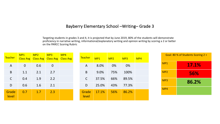#### Bayberry Elementary School –Writing– Grade 3

Targeting students in grades 3 and 4, it is projected that by June 2019, 80% of the students will demonstrate proficiency in narrative writing, informational/explanatory writing and opinion writing by scoring a 2 or better on the PARCC Scoring Rubric

| <b>Teacher</b> | MP1         | MP2 | MP3<br>Class Avg Class Avg Class Avg Class Avg | MP4 | Teacher      | MP1   | MP2 | MP <sub>3</sub> | MP4 |     | Goal: 80 % of Students Scoring 2 + |
|----------------|-------------|-----|------------------------------------------------|-----|--------------|-------|-----|-----------------|-----|-----|------------------------------------|
| A              | $\mathbf 0$ | 0.6 | $\overline{0}$                                 |     | $\mathsf{A}$ | 8.0%  | 0%  | 0%              |     | MP1 | 17.1%                              |
| $\sf B$        | 1.1         | 2.1 | 2.7                                            |     | B            | 9.0%  | 75% | 100%            |     | MP2 | 56%                                |
| $\mathsf C$    | 0.4         | 1.9 | 2.2                                            |     | $\mathsf{C}$ | 37.5% | 66% | 89.5%           |     | MP3 | 86.2%                              |
| D              | 0.6         | 1.6 | 2.1                                            |     | D            | 25.0% | 43% | 77.3%           |     |     |                                    |
| Grade          | 0.7         | 1.7 | 2.3                                            |     | Grade        | 17.1% | 56% | 86.2%           |     | MP4 |                                    |
| level          |             |     |                                                |     | level        |       |     |                 |     |     |                                    |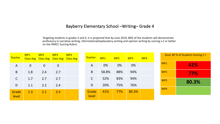# Bayberry Elementary School –Writing– Grade 4

Targeting students in grades 3 and 4, it is projected that by June 2019, 80% of the students will demonstrate proficiency in narrative writing, informational/explanatory writing and opinion writing by scoring a 2 or better on the PARCC Scoring Rubric

| <b>Teacher</b> | MP <sub>1</sub><br><b>Class Avg</b> | MP2            | MP <sub>3</sub><br>Class Avg   Class Avg   Class Avg | MP4 | Teacher        | MP1   | MP2 | MP <sub>3</sub> | MP4 |                 | Goal: 80 % of Students Scoring 2 + |
|----------------|-------------------------------------|----------------|------------------------------------------------------|-----|----------------|-------|-----|-----------------|-----|-----------------|------------------------------------|
| $\mathsf{A}$   | $\overline{0}$                      | $\overline{0}$ | $\overline{0}$                                       |     | $\mathsf{A}$   | 0%    | 0%  | 0%              |     | MP1             | 41%                                |
| B              | 1.8                                 | 2.4            | 2.7                                                  |     | B              | 58.8% | 88% | 94%             |     | MP <sub>2</sub> | 77%                                |
| $\mathsf{C}$   | 1.7                                 | 2.7            | 2.7                                                  |     | C              | 52%   | 83% | 94%             |     | MP3             | 80.3%                              |
| D              | 1.1                                 | 2.2            | 2.4                                                  |     | D              | 20%   | 75% | 76%             |     |                 |                                    |
| Grade<br>level | 1.3                                 | 2.1            | 2.4                                                  |     | Grade<br>level | 41%   | 77% | 80.3%           |     | MP4             |                                    |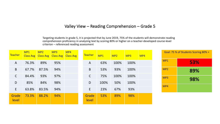# Valley View – Reading Comprehension – Grade 5

Targeting students in grade 5, it is projected that by June 2019, 75% of the students will demonstrate reading comprehension proficiency in analyzing text by scoring 80% or higher on a teacher-developed course-level criterion – referenced reading assessment

| Teacher        | MP1<br><b>Class Avg</b> | MP2<br><b>Class Avg</b> | MP <sub>3</sub><br><b>Class Avg</b> | MP4<br><b>Class Avg</b> | <b>Teacher</b> | MP <sub>1</sub> | MP <sub>2</sub> | MP <sub>3</sub> | MP4 |                 | Goal: 75 % of Students Scoring 80% + |
|----------------|-------------------------|-------------------------|-------------------------------------|-------------------------|----------------|-----------------|-----------------|-----------------|-----|-----------------|--------------------------------------|
| A              | 76.3%                   | 89%                     | 95%                                 |                         | A              | 63%             | 100%            | 100%            |     | MP1             | 53%                                  |
| $\sf B$        | 67.7%                   | 87.5%                   | 94%                                 |                         | B              | 53%             | 93%             | 100%            |     | MP <sub>2</sub> | 89%                                  |
| $\mathsf{C}$   | 84.4%                   | 93%                     | 97%                                 |                         | $\mathsf{C}$   | 75%             | 100%            | 100%            |     | MP3             | 98%                                  |
| D              | 85%                     | 84%                     | 98%                                 |                         | D              | 100%            | 50%             | 100%            |     | MP4             |                                      |
| E              | 63.8%                   | 83.5%                   | 94%                                 |                         | E              | 23%             | 67%             | 93%             |     |                 |                                      |
| Grade<br>level | 73.3%                   | 88.2%                   | 94%                                 |                         | Grade<br>level | 53%             | 89%             | 98%             |     |                 |                                      |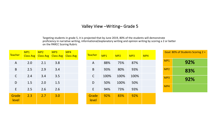## Valley View –Writing– Grade 5

Targeting students in grade 5, it is projected that by June 2019, 80% of the students will demonstrate proficiency in narrative writing, informational/explanatory writing and opinion writing by scoring a 2 or better on the PARCC Scoring Rubric

| <b>Teacher</b> | MP1<br><b>Class Avg</b> | MP2<br><b>Class Avg</b> | MP3<br><b>Class Avg</b> | MP4<br><b>Class Avg</b> |
|----------------|-------------------------|-------------------------|-------------------------|-------------------------|
| A              | 2.0                     | 2.1                     | 3.8                     |                         |
| B              | 2.5                     | 2.9                     | 3.4                     |                         |
| $\mathsf{C}$   | 2.4                     | 3.4                     | 3.5                     |                         |
| D              | 1.5                     | 2.0                     | 1.5                     |                         |
| E              | 2.5                     | 2.6                     | 2.6                     |                         |
| Grade<br>level | 2.3                     | 2.7                     | 3.0                     |                         |

| <b>Teacher</b> | MP1  | MP2  | MP <sub>3</sub> | MP4 |
|----------------|------|------|-----------------|-----|
| $\overline{A}$ | 88%  | 75%  | 87%             |     |
| B              | 93%  | 80%  | 93%             |     |
| $\mathsf{C}$   | 100% | 100% | 100%            |     |
| D              | 50%  | 100% | 50%             |     |
| F              | 94%  | 73%  | 93%             |     |
| Grade<br>level | 92%  | 83%  | 92%             |     |

| Goal: 80% of Students Scoring 2 + |     |  |  |  |  |  |  |  |  |
|-----------------------------------|-----|--|--|--|--|--|--|--|--|
| MP1                               | 92% |  |  |  |  |  |  |  |  |
| MP <sub>2</sub>                   | 83% |  |  |  |  |  |  |  |  |
| MP3                               | 92% |  |  |  |  |  |  |  |  |
| MP4                               |     |  |  |  |  |  |  |  |  |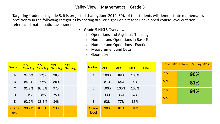- Grade 5 NJSLS Overview
	- o Operations and Algebraic Thinking
	- o Number and Operations in Base Ten
	- o Number and Operations Fractions
	- o Measurement and Data
	- o Geometry

| <b>Teacher</b> | MP1<br><b>Class Avg</b> | MP2<br><b>Class Avg</b> | MP3<br><b>Class Avg</b> | MP4<br><b>Class Avg</b> |
|----------------|-------------------------|-------------------------|-------------------------|-------------------------|
| A              | 94.6%                   | 92%                     | 98%                     |                         |
| B              | 84.3%                   | 77%                     | 80%                     |                         |
| $\mathsf{C}$   | 91.8%                   | 93.5%                   | 97%                     |                         |
| D              | 81%                     | 68%                     | 75%                     |                         |
| E              | 92.2%                   | 88.5%                   | 84%                     |                         |
| Grade<br>level | 90.2%                   | 87.3%                   | 93%                     |                         |

| <b>Teacher</b> | MP1  | MP2  | MP <sub>3</sub> | MP4 |
|----------------|------|------|-----------------|-----|
| A              | 100% | 88%  | 100%            |     |
| B              | 81%  | 64%  | 93%             |     |
| $\mathsf{C}$   | 100% | 100% | 100%            |     |
| D              | 33%  | 33%  | 67%             |     |
| E              | 92%  | 77%  | 85%             |     |
| Grade<br>level | 90%  | 81%  | 94%             |     |

| Goal: 80% of Students Scoring 80% + |     |  |  |  |  |  |  |  |  |  |  |
|-------------------------------------|-----|--|--|--|--|--|--|--|--|--|--|
| MP1                                 | 90% |  |  |  |  |  |  |  |  |  |  |
| MP <sub>2</sub>                     | 81% |  |  |  |  |  |  |  |  |  |  |
| MP3                                 | 94% |  |  |  |  |  |  |  |  |  |  |
| MP4                                 |     |  |  |  |  |  |  |  |  |  |  |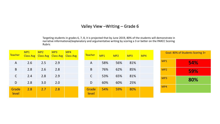## Valley View –Writing – Grade 6

Targeting students in grades 6, 7, 8, it is projected that by June 2019, 80% of the students will demonstrate in narrative informational/explanatory and argumentative writing by scoring a 3 or better on the PARCC Scoring Rubric

| <b>Teacher</b> | MP1<br><b>Class Avg</b> | MP2 | MP <sub>3</sub><br><b>Class Avg Class Avg</b> | MP4<br><b>Class Avg</b> | <b>Teacher</b> | MP <sub>1</sub> | MP <sub>2</sub> | MP <sub>3</sub> | MP4 |                 | Goal: 80% of Students Scoring 3+ |
|----------------|-------------------------|-----|-----------------------------------------------|-------------------------|----------------|-----------------|-----------------|-----------------|-----|-----------------|----------------------------------|
| $\mathsf{A}$   | 2.6                     | 2.5 | 2.9                                           |                         | A              | 58%             | 56%             | 81%             |     | MP1             | 54%                              |
| B              | 2.8                     | 2.6 | 2.8                                           |                         | B              | 76%             | 62%             | 85%             |     | MP <sub>2</sub> | <b>59%</b>                       |
| $\mathsf C$    | 2.4                     | 2.8 | 2.9                                           |                         | C              | 53%             | 65%             | 81%             |     | MP3             | 80%                              |
| D              | 2.8                     | 3.0 | 2.0                                           |                         | D              | 60%             | 60%             | 25%             |     |                 |                                  |
| Grade<br>level | 2.8                     | 2.7 | 2.8                                           |                         | Grade<br>level | 54%             | 59%             | 80%             |     | MP4             |                                  |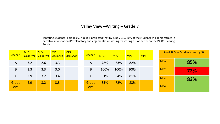### Valley View –Writing – Grade 7

Targeting students in grades 6, 7, 8, it is projected that by June 2019, 80% of the students will demonstrate in narrative informational/explanatory and argumentative writing by scoring a 3 or better on the PARCC Scoring Rubric

| <b>Teacher</b> | MP1<br><b>Class Avg</b> | MP2<br><b>Class Avg Class Avg</b> | MP <sub>3</sub> | MP4<br><b>Class Avg</b> | Teacher        | MP1  | MP <sub>2</sub> | MP <sub>3</sub> | MP4 |                 | Goal: 80% of Students Scoring 3+ |
|----------------|-------------------------|-----------------------------------|-----------------|-------------------------|----------------|------|-----------------|-----------------|-----|-----------------|----------------------------------|
| A              | 3.2                     | 2.6                               | 3.3             |                         | A              | 78%  | 63%             | 82%             |     | MP1             | 85%                              |
| B              | 3.3                     | 3.3                               | 3.0             |                         | B              | 100% | 100%            | 100%            |     | MP <sub>2</sub> | <b>72%</b>                       |
| C              | 2.9                     | 3.2                               | 3.4             |                         | C              | 81%  | 94%             | 81%             |     | MP3             | 83%                              |
| Grade<br>level | 2.9                     | 3.2                               | 3.3             |                         | Grade<br>level | 85%  | 72%             | 83%             |     | MP4             |                                  |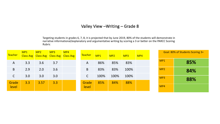## Valley View –Writing – Grade 8

Targeting students in grades 6, 7, 8, it is projected that by June 2019, 80% of the students will demonstrate in narrative informational/explanatory and argumentative writing by scoring a 3 or better on the PARCC Scoring Rubric

| <b>Teacher</b> | MP1 | MP2<br>Class Avg Class Avg Class Avg | MP <sub>3</sub> | MP4<br><b>Class Avg</b> | Teacher        | MP1  | MP2  | MP <sub>3</sub> | MP4 |                 | Goal: 80% of Students Scoring 3+ |
|----------------|-----|--------------------------------------|-----------------|-------------------------|----------------|------|------|-----------------|-----|-----------------|----------------------------------|
| $\mathsf{A}$   | 3.3 | 3.6                                  | 3.7             |                         | A              | 86%  | 85%  | 83%             |     | MP1             | 85%                              |
| B              | 2.9 | 2.0                                  | 3.6             |                         | $\mathsf B$    | 83%  | 83%  | 100%            |     | MP <sub>2</sub> | 84%                              |
| $\mathsf C$    | 3.0 | 3.0                                  | 3.0             |                         | $\mathsf C$    | 100% | 100% | 100%            |     | MP3             | 88%                              |
| Grade<br>level | 3.3 | 3.57                                 | 3.3             |                         | Grade<br>level | 85%  | 84%  | 88%             |     | MP4             |                                  |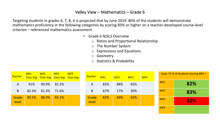- Grade 6 NJSLS Overview
	- o Ratios and Proportional Relationship
	- o The Number System
	- o Expressions and Equations
	- o Geometry
	- o Statistics & Probability

| <b>Teacher</b> | MP <sub>1</sub> | MP2   | MP <sub>3</sub> | MP4<br>Class Avg Class Avg Class Avg Class Avg | Teacher/       | MP <sub>1</sub> | MP2 | MP <sub>3</sub> | MP4 |                 | Goal: 75 % of Students Scoring 80% + |
|----------------|-----------------|-------|-----------------|------------------------------------------------|----------------|-----------------|-----|-----------------|-----|-----------------|--------------------------------------|
| A              | 91%             | 90.9% | 82.2%           |                                                | Α              | 83%             | 88% | 65%             |     | MP1             | 82%                                  |
| B              | 82.3%           | 61.3% | 71.6%           |                                                | B              | 67%             | 17% | 20%             |     | MP <sub>2</sub> | 83%                                  |
| Grade<br>level | 90.5%           | 88.9% | 83.2%           |                                                | Grade<br>level | 82%             | 83% | 62%             |     | MP3             | 62%                                  |
|                |                 |       |                 |                                                |                |                 |     |                 |     | MP4             |                                      |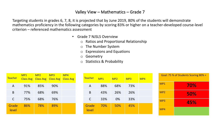- Grade 7 NJSLS Overview
	- o Ratios and Proportional Relationship
	- o The Number System
	- o Expressions and Equations
	- o Geometry
	- o Statistics & Probability

| <b>Teacher</b> | MP1<br><b>Class Avg</b> | MP2<br><b>Class Avg</b> | MP3<br><b>Class Avg</b> | MP4<br><b>Class Avg</b> |
|----------------|-------------------------|-------------------------|-------------------------|-------------------------|
| A              | 91%                     | 85%                     | 90%                     |                         |
| B              | 77%                     | 68%                     | 69%                     |                         |
| $\mathsf{C}$   | 75%                     | 68%                     | 76%                     |                         |
| Grade<br>level | 86%                     | 78%                     | 89%                     |                         |

| <b>Teacher</b> | MP1 | MP <sub>2</sub> | MP <sub>3</sub> | MP4 |
|----------------|-----|-----------------|-----------------|-----|
| A              | 88% | 68%             | 73%             |     |
| B              | 43% | 26%             | 26%             |     |
| $\mathsf{C}$   | 33% | 0%              | 33%             |     |
| Grade<br>level | 70% | 50%             | 45%             |     |

| Goal: 75 % of Students Scoring 80% + |     |  |  |
|--------------------------------------|-----|--|--|
| MP1                                  | 70% |  |  |
| MP <sub>2</sub>                      | 50% |  |  |
| MP <sub>3</sub>                      | 45% |  |  |
| MP4                                  |     |  |  |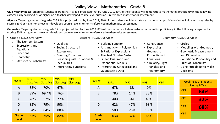**Gr. 8 Mathematics**: Targeting students in grades 6, 7, 8, it is projected that by June 2019, 80% of the students will demonstrate mathematics proficiency in the following categories by scoring 83% or higher on a teacher-developed course-level criterion – referenced mathematics assessment

**Algebra:** Targeting students in grades 7 & 8 it is projected that by June 2019, 80% of the students will demonstrate mathematics proficiency in the following categories by scoring 83% or higher on a teacher-developed course-level criterion – referenced mathematics assessment

| • Grade 8 NJSLS Overview                                                                                                            |                                                                                                                                                                      | Algebra I NJSLS Overview                                                                                                                                                                                                      | <b>Geometry NJSLS Overview</b>                                                                                                     |                                                                                                                                                                                                      |
|-------------------------------------------------------------------------------------------------------------------------------------|----------------------------------------------------------------------------------------------------------------------------------------------------------------------|-------------------------------------------------------------------------------------------------------------------------------------------------------------------------------------------------------------------------------|------------------------------------------------------------------------------------------------------------------------------------|------------------------------------------------------------------------------------------------------------------------------------------------------------------------------------------------------|
| The Number System<br>Expressions and<br>$\circ$<br>Equations<br><b>Functions</b><br>Geometry<br><b>Statistics &amp; Probability</b> | • Qualities<br>Seeing Structure in<br>Expressions<br><b>Creating Equations</b><br>Reasoning with Equations &<br><b>Inequalities</b><br><b>Interpreting Functions</b> | • Building Function<br>• Arithmetic with Polynomials<br>& Rational Expressions<br>• The Real Number System<br>Linear, Quadratic, and<br><b>Exponential Models</b><br>Interpreting Categorical and<br><b>Quantitative Data</b> | • Congruence<br>• Expressing<br>Geometric<br>Properties with<br>Equations<br>• Similarity, Right<br>Triangles, and<br>Trigonometry | • Circles<br>• Modeling with Geometry<br>• Geometric Measurement<br>and Dimension<br>• Conditional Probability and<br><b>Rules of Probability</b><br>• Using Probability to Make<br><b>Decisions</b> |

| <b>Teacher</b> | MP1              | MP2              | MP <sub>3</sub>  | MP4              |
|----------------|------------------|------------------|------------------|------------------|
|                | <b>Class Avg</b> | <b>Class Avg</b> | <b>Class Avg</b> | <b>Class Avg</b> |
| A              | 88%              | 70%              | 67%              |                  |
| B              | 89%              | 69.4%            | 76%              |                  |
| C              | 78%              | 52%              | 77%              |                  |
| D              | 85%              | 79%              | 90%              |                  |
| E              | 84%              | 84%              | 88%              |                  |
| Grade<br>level | 85%              | 75%              | 82%              |                  |

| <b>Teacher</b> | MP1 | MP2 | MP <sub>3</sub> | MP4 |
|----------------|-----|-----|-----------------|-----|
| $\mathsf{A}$   | 67% | 8%  | 0%              |     |
| B              | 78% | 14% | 33%             |     |
| C              | 40% | 0%  | 40%             |     |
| D              | 62% | 47% | 98%             |     |
| E.             | 50% | 25% | 100%            |     |
| Grade<br>level | 63% | 32% | 68%             |     |

| Goal: 75 % of Students |               |  |  |  |
|------------------------|---------------|--|--|--|
|                        | Scoring 80% + |  |  |  |
|                        |               |  |  |  |
| MP1                    | 64%           |  |  |  |
|                        |               |  |  |  |
| MP2                    | 32%           |  |  |  |
| MP3                    |               |  |  |  |
|                        | 68%           |  |  |  |
| MP4                    |               |  |  |  |
|                        |               |  |  |  |